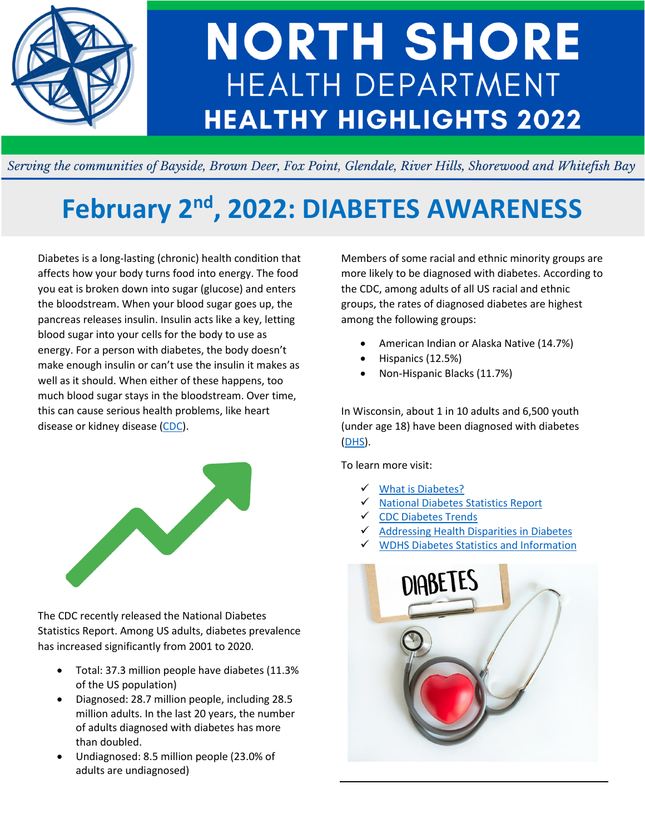

# **NORTH SHORE HEALTH DEPARTMENT HEALTHY HIGHLIGHTS 2022**

Serving the communities of Bayside, Brown Deer, Fox Point, Glendale, River Hills, Shorewood and Whitefish Bay

## **February 2 nd, 2022: DIABETES AWARENESS**

Diabetes is a long-lasting (chronic) health condition that affects how your body turns food into energy. The food you eat is broken down into sugar (glucose) and enters the bloodstream. When your blood sugar goes up, the pancreas releases insulin. Insulin acts like a key, letting blood sugar into your cells for the body to use as energy. For a person with diabetes, the body doesn't make enough insulin or can't use the insulin it makes as well as it should. When either of these happens, too much blood sugar stays in the bloodstream. Over time, this can cause serious health problems, like heart disease or kidney disease [\(CDC\)](https://www.cdc.gov/diabetes/basics/diabetes.html).



The CDC recently released the National Diabetes Statistics Report. Among US adults, diabetes prevalence has increased significantly from 2001 to 2020.

- Total: 37.3 million people have diabetes (11.3% of the US population)
- Diagnosed: 28.7 million people, including 28.5 million adults. In the last 20 years, the number of adults diagnosed with diabetes has more than doubled.
- Undiagnosed: 8.5 million people (23.0% of adults are undiagnosed)

Members of some racial and ethnic minority groups are more likely to be diagnosed with diabetes. According to the CDC, among adults of all US racial and ethnic groups, the rates of diagnosed diabetes are highest among the following groups:

- American Indian or Alaska Native (14.7%)
- Hispanics (12.5%)
- Non-Hispanic Blacks (11.7%)

In Wisconsin, about 1 in 10 adults and 6,500 youth (under age 18) have been diagnosed with diabetes [\(DHS\)](https://www.dhs.wisconsin.gov/publications/p01897.pdf).

To learn more visit:

- ✓ [What is Diabetes?](https://www.cdc.gov/diabetes/basics/diabetes.html)
- ✓ [National Diabetes Statistics Report](https://www.cdc.gov/diabetes/data/statistics-report/index.html)
- ✓ [CDC Diabetes Trends](https://www.cdc.gov/diabetes/library/reports/reportcard/national-state-diabetes-trends.html)
- ✓ [Addressing Health Disparities in Diabetes](https://www.cdc.gov/diabetes/disparities.html)
- ✓ [WDHS Diabetes Statistics and Information](https://www.dhs.wisconsin.gov/diabetes/index.htm#:~:text=Diabetes%20in%20Wisconsin.%20Approximately%20356%2C000%20adults%20and%206%2C500,an%20additional%20138%2C000%20have%20diabetes%20but%20are%20undiagnosed.)

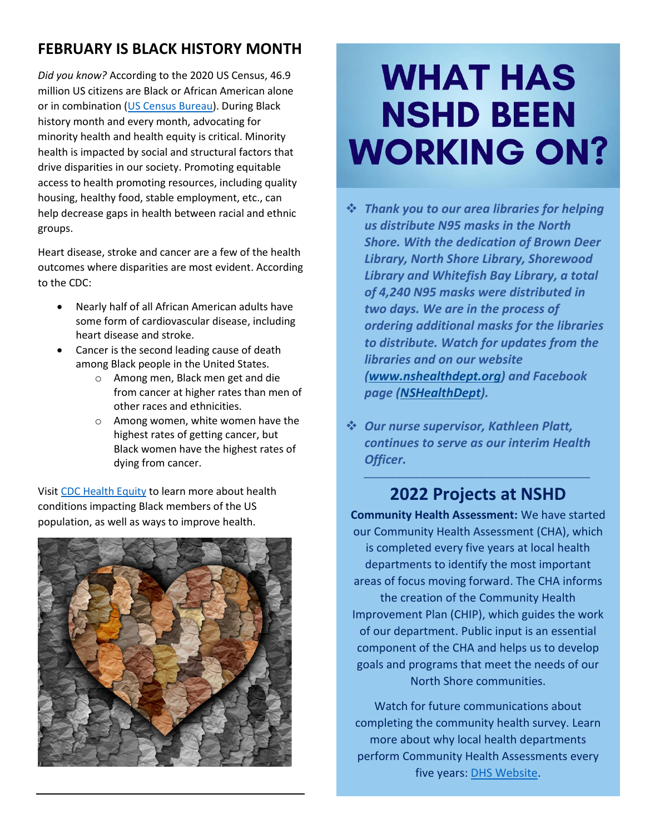### **FEBRUARY IS BLACK HISTORY MONTH**

*Did you know?* According to the 2020 US Census, 46.9 million US citizens are Black or African American alone or in combination [\(US Census Bureau\)](https://nshealthdept.sharepoint.com/sites/nshore/Shared%20Documents/Communications/Highlights/2022%20Highlights/2-1-22/CDC%20Diabetes.jpg). During Black history month and every month, advocating for minority health and health equity is critical. Minority health is impacted by social and structural factors that drive disparities in our society. Promoting equitable access to health promoting resources, including quality housing, healthy food, stable employment, etc., can help decrease gaps in health between racial and ethnic groups.

Heart disease, stroke and cancer are a few of the health outcomes where disparities are most evident. According to the CDC:

- Nearly half of all African American adults have some form of cardiovascular disease, including heart disease and stroke.
- Cancer is the second leading cause of death among Black people in the United States.
	- o Among men, Black men get and die from cancer at higher rates than men of other races and ethnicities.
	- o Among women, white women have the highest rates of getting cancer, but Black women have the highest rates of dying from cancer.

Visit [CDC Health Equity](https://www.cdc.gov/healthequity/features/african-american-history/index.html) to learn more about health conditions impacting Black members of the US population, as well as ways to improve health.



## **WHAT HAS NSHD BEEN WORKING ON?**

- ❖ *Thank you to our area libraries for helping us distribute N95 masks in the North Shore. With the dedication of Brown Deer Library, North Shore Library, Shorewood Library and Whitefish Bay Library, a total of 4,240 N95 masks were distributed in two days. We are in the process of ordering additional masks for the libraries to distribute. Watch for updates from the libraries and on our website [\(www.nshealthdept.org\)](http://www.nshealthdept.org/) and Facebook page [\(NSHealthDept\)](https://www.facebook.com/NSHealthDept).*
- ❖ *Our nurse supervisor, Kathleen Platt, continues to serve as our interim Health Officer.*

### *\_\_\_\_\_\_\_\_\_\_\_\_\_\_\_\_\_\_\_\_\_\_\_\_\_\_\_\_\_\_\_\_\_\_\_\_\_\_\_\_\_\_\_\_\_\_\_\_* **2022 Projects at NSHD**

**Community Health Assessment:** We have started our Community Health Assessment (CHA), which is completed every five years at local health departments to identify the most important areas of focus moving forward. The CHA informs the creation of the Community Health Improvement Plan (CHIP), which guides the work of our department. Public input is an essential component of the CHA and helps us to develop goals and programs that meet the needs of our North Shore communities.

Watch for future communications about completing the community health survey. Learn more about why local health departments perform Community Health Assessments every five years: [DHS Website.](https://www.dhs.wisconsin.gov/chip/index.htm)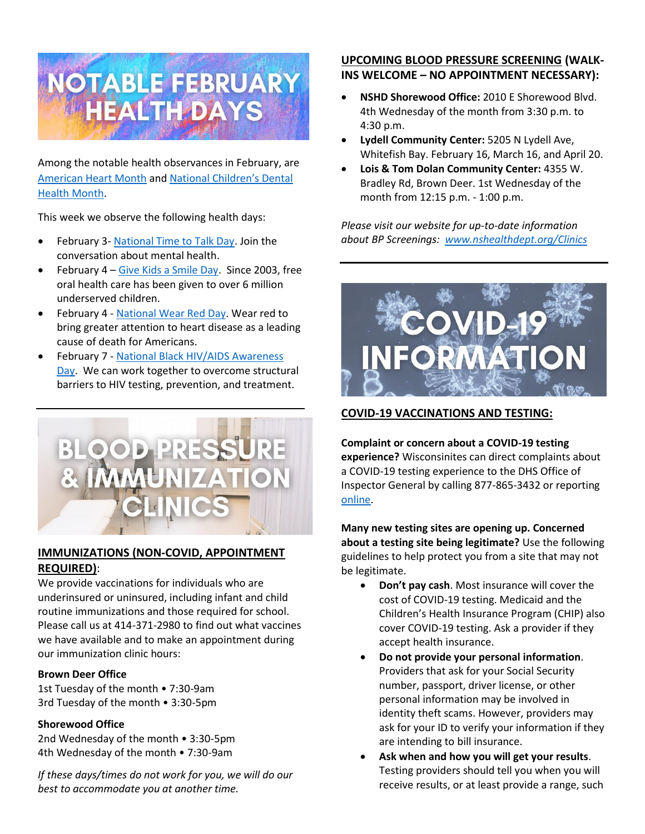

Among the notable health observances in February, are [American Heart Month](https://www.cdc.gov/heartdisease/about.htm) and [National Children's Dental](https://www.ada.org/publications/ada-news/2021/november/2022-national-childrens-dental-health-month-focuses-on-sealants)  [Health Month.](https://www.ada.org/publications/ada-news/2021/november/2022-national-childrens-dental-health-month-focuses-on-sealants)

This week we observe the following health days:

- February 3- [National Time to Talk Day.](https://www.rethink.org/get-involved/awareness-days-and-events/time-to-talk-day/) Join the conversation about mental health.
- February  $4 -$  [Give Kids a Smile Day.](https://www.ada.org/resources/community-initiatives/give-kids-a-smile) Since 2003, free oral health care has been given to over 6 million underserved children.
- February 4 [National Wear Red Day.](https://www.nhlbi.nih.gov/health-topics/education-and-awareness/heart-month/wear-red-day) Wear red to bring greater attention to heart disease as a leading cause of death for Americans.
- February 7 [National Black HIV/AIDS Awareness](https://www.cdc.gov/hiv/library/awareness/nbhaad.html)  [Day.](https://www.cdc.gov/hiv/library/awareness/nbhaad.html) We can work together to overcome structural barriers to HIV testing, prevention, and treatment.



#### **IMMUNIZATIONS (NON-COVID, APPOINTMENT REQUIRED)**:

We provide vaccinations for individuals who are underinsured or uninsured, including infant and child routine immunizations and those required for school. Please call us at 414-371-2980 to find out what vaccines we have available and to make an appointment during our immunization clinic hours:

#### **Brown Deer Office**

1st Tuesday of the month • 7:30-9am 3rd Tuesday of the month • 3:30-5pm

#### **Shorewood Office**

2nd Wednesday of the month • 3:30-5pm 4th Wednesday of the month • 7:30-9am

*If these days/times do not work for you, we will do our best to accommodate you at another time.*

#### **UPCOMING BLOOD PRESSURE SCREENING (WALK-INS WELCOME – NO APPOINTMENT NECESSARY):**

- **NSHD Shorewood Office:**2010 E Shorewood Blvd. 4th Wednesday of the month from 3:30 p.m. to 4:30 p.m.
- **Lydell Community Center:** 5205 N Lydell Ave, Whitefish Bay. February 16, March 16, and April 20.
- **Lois & Tom Dolan Community Center:** 4355 W. Bradley Rd, Brown Deer. 1st Wednesday of the month from 12:15 p.m. - 1:00 p.m.

*Please visit our website for up-to-date information about BP Screenings:  [www.nshealthdept.org/Clinics](https://www.nshealthdept.org/Clinics.aspx)*



#### **COVID-19 VACCINATIONS AND TESTING:**

**Complaint or concern about a COVID-19 testing experience?** Wisconsinites can direct complaints about a COVID-19 testing experience to the DHS Office of Inspector General by calling 877-865-3432 or reporting [online.](https://www.reportfraud.wisconsin.gov/rptfrd/default.aspx)

**Many new testing sites are opening up. Concerned about a testing site being legitimate?** Use the following guidelines to help protect you from a site that may not be legitimate.

- **Don't pay cash**. Most insurance will cover the cost of COVID-19 testing. Medicaid and the Children's Health Insurance Program (CHIP) also cover COVID-19 testing. Ask a provider if they accept health insurance.
- **Do not provide your personal information**. Providers that ask for your Social Security number, passport, driver license, or other personal information may be involved in identity theft scams. However, providers may ask for your ID to verify your information if they are intending to bill insurance.
- **Ask when and how you will get your results**. Testing providers should tell you when you will receive results, or at least provide a range, such